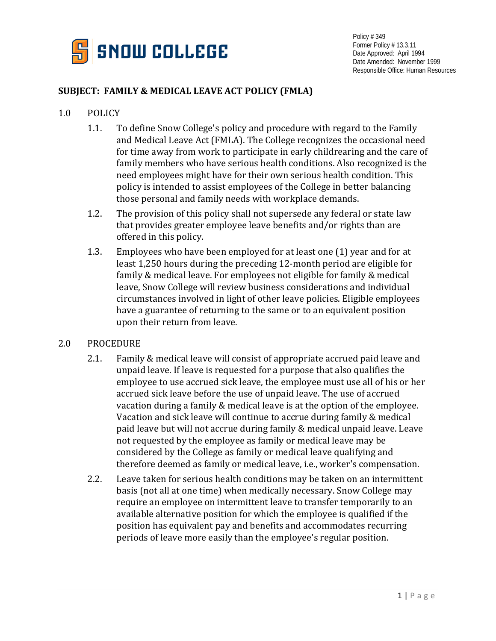

## **SUBJECT: FAMILY & MEDICAL LEAVE ACT POLICY (FMLA)**

#### 1.0 POLICY

- 1.1. To define Snow College's policy and procedure with regard to the Family and Medical Leave Act (FMLA). The College recognizes the occasional need for time away from work to participate in early childrearing and the care of family members who have serious health conditions. Also recognized is the need employees might have for their own serious health condition. This policy is intended to assist employees of the College in better balancing those personal and family needs with workplace demands.
- 1.2. The provision of this policy shall not supersede any federal or state law that provides greater employee leave benefits and/or rights than are offered in this policy.
- 1.3. Employees who have been employed for at least one (1) year and for at least 1,250 hours during the preceding 12-month period are eligible for family & medical leave. For employees not eligible for family & medical leave, Snow College will review business considerations and individual circumstances involved in light of other leave policies. Eligible employees have a guarantee of returning to the same or to an equivalent position upon their return from leave.

#### 2.0 PROCEDURE

- 2.1. Family & medical leave will consist of appropriate accrued paid leave and unpaid leave. If leave is requested for a purpose that also qualifies the employee to use accrued sick leave, the employee must use all of his or her accrued sick leave before the use of unpaid leave. The use of accrued vacation during a family & medical leave is at the option of the employee. Vacation and sick leave will continue to accrue during family & medical paid leave but will not accrue during family & medical unpaid leave. Leave not requested by the employee as family or medical leave may be considered by the College as family or medical leave qualifying and therefore deemed as family or medical leave, i.e., worker's compensation.
- 2.2. Leave taken for serious health conditions may be taken on an intermittent basis (not all at one time) when medically necessary. Snow College may require an employee on intermittent leave to transfer temporarily to an available alternative position for which the employee is qualified if the position has equivalent pay and benefits and accommodates recurring periods of leave more easily than the employee's regular position.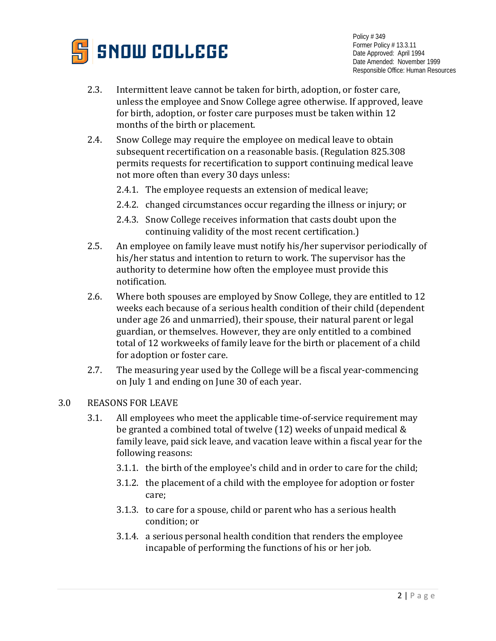

- 2.3. Intermittent leave cannot be taken for birth, adoption, or foster care, unless the employee and Snow College agree otherwise. If approved, leave for birth, adoption, or foster care purposes must be taken within 12 months of the birth or placement.
- 2.4. Snow College may require the employee on medical leave to obtain subsequent recertification on a reasonable basis. (Regulation 825.308 permits requests for recertification to support continuing medical leave not more often than every 30 days unless:
	- 2.4.1. The employee requests an extension of medical leave;
	- 2.4.2. changed circumstances occur regarding the illness or injury; or
	- 2.4.3. Snow College receives information that casts doubt upon the continuing validity of the most recent certification.)
- 2.5. An employee on family leave must notify his/her supervisor periodically of his/her status and intention to return to work. The supervisor has the authority to determine how often the employee must provide this notification.
- 2.6. Where both spouses are employed by Snow College, they are entitled to 12 weeks each because of a serious health condition of their child (dependent under age 26 and unmarried), their spouse, their natural parent or legal guardian, or themselves. However, they are only entitled to a combined total of 12 workweeks of family leave for the birth or placement of a child for adoption or foster care.
- 2.7. The measuring year used by the College will be a fiscal year-commencing on July 1 and ending on June 30 of each year.

## 3.0 REASONS FOR LEAVE

- 3.1. All employees who meet the applicable time-of-service requirement may be granted a combined total of twelve (12) weeks of unpaid medical & family leave, paid sick leave, and vacation leave within a fiscal year for the following reasons:
	- 3.1.1. the birth of the employee's child and in order to care for the child;
	- 3.1.2. the placement of a child with the employee for adoption or foster care;
	- 3.1.3. to care for a spouse, child or parent who has a serious health condition; or
	- 3.1.4. a serious personal health condition that renders the employee incapable of performing the functions of his or her job.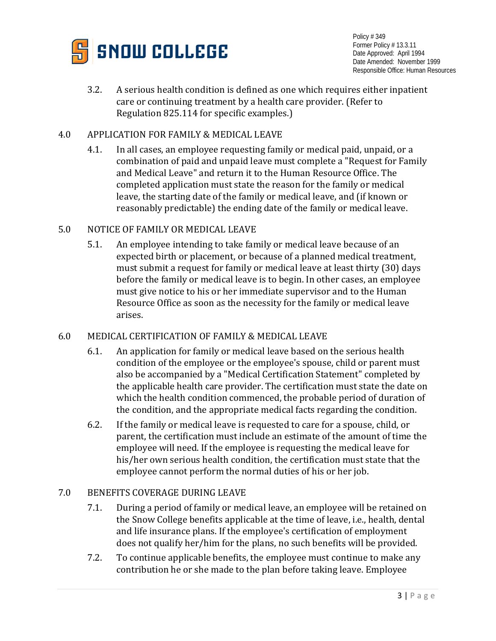

3.2. A serious health condition is defined as one which requires either inpatient care or continuing treatment by a health care provider. (Refer to Regulation 825.114 for specific examples.)

## 4.0 APPLICATION FOR FAMILY & MEDICAL LEAVE

4.1. In all cases, an employee requesting family or medical paid, unpaid, or a combination of paid and unpaid leave must complete a "Request for Family and Medical Leave" and return it to the Human Resource Office. The completed application must state the reason for the family or medical leave, the starting date of the family or medical leave, and (if known or reasonably predictable) the ending date of the family or medical leave.

#### 5.0 NOTICE OF FAMILY OR MEDICAL LEAVE

5.1. An employee intending to take family or medical leave because of an expected birth or placement, or because of a planned medical treatment, must submit a request for family or medical leave at least thirty (30) days before the family or medical leave is to begin. In other cases, an employee must give notice to his or her immediate supervisor and to the Human Resource Office as soon as the necessity for the family or medical leave arises.

## 6.0 MEDICAL CERTIFICATION OF FAMILY & MEDICAL LEAVE

- 6.1. An application for family or medical leave based on the serious health condition of the employee or the employee's spouse, child or parent must also be accompanied by a "Medical Certification Statement" completed by the applicable health care provider. The certification must state the date on which the health condition commenced, the probable period of duration of the condition, and the appropriate medical facts regarding the condition.
- 6.2. If the family or medical leave is requested to care for a spouse, child, or parent, the certification must include an estimate of the amount of time the employee will need. If the employee is requesting the medical leave for his/her own serious health condition, the certification must state that the employee cannot perform the normal duties of his or her job.

## 7.0 BENEFITS COVERAGE DURING LEAVE

- 7.1. During a period of family or medical leave, an employee will be retained on the Snow College benefits applicable at the time of leave, i.e., health, dental and life insurance plans. If the employee's certification of employment does not qualify her/him for the plans, no such benefits will be provided.
- 7.2. To continue applicable benefits, the employee must continue to make any contribution he or she made to the plan before taking leave. Employee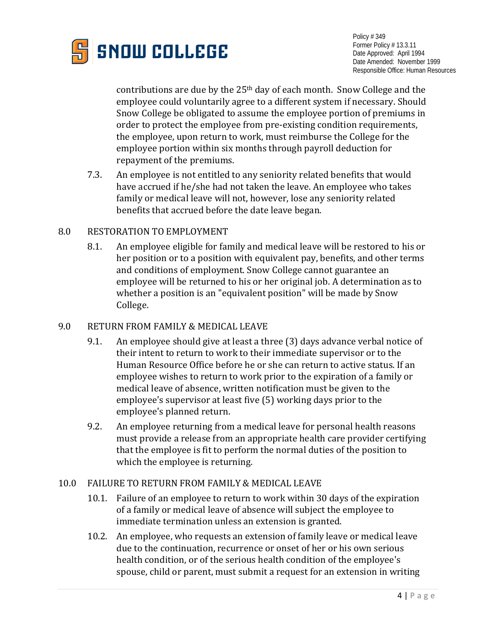

contributions are due by the 25th day of each month. Snow College and the employee could voluntarily agree to a different system if necessary. Should Snow College be obligated to assume the employee portion of premiums in order to protect the employee from pre-existing condition requirements, the employee, upon return to work, must reimburse the College for the employee portion within six months through payroll deduction for repayment of the premiums.

7.3. An employee is not entitled to any seniority related benefits that would have accrued if he/she had not taken the leave. An employee who takes family or medical leave will not, however, lose any seniority related benefits that accrued before the date leave began.

#### 8.0 RESTORATION TO EMPLOYMENT

8.1. An employee eligible for family and medical leave will be restored to his or her position or to a position with equivalent pay, benefits, and other terms and conditions of employment. Snow College cannot guarantee an employee will be returned to his or her original job. A determination as to whether a position is an "equivalent position" will be made by Snow College.

# 9.0 RETURN FROM FAMILY & MEDICAL LEAVE

- 9.1. An employee should give at least a three (3) days advance verbal notice of their intent to return to work to their immediate supervisor or to the Human Resource Office before he or she can return to active status. If an employee wishes to return to work prior to the expiration of a family or medical leave of absence, written notification must be given to the employee's supervisor at least five (5) working days prior to the employee's planned return.
- 9.2. An employee returning from a medical leave for personal health reasons must provide a release from an appropriate health care provider certifying that the employee is fit to perform the normal duties of the position to which the employee is returning.

## 10.0 FAILURE TO RETURN FROM FAMILY & MEDICAL LEAVE

- 10.1. Failure of an employee to return to work within 30 days of the expiration of a family or medical leave of absence will subject the employee to immediate termination unless an extension is granted.
- 10.2. An employee, who requests an extension of family leave or medical leave due to the continuation, recurrence or onset of her or his own serious health condition, or of the serious health condition of the employee's spouse, child or parent, must submit a request for an extension in writing